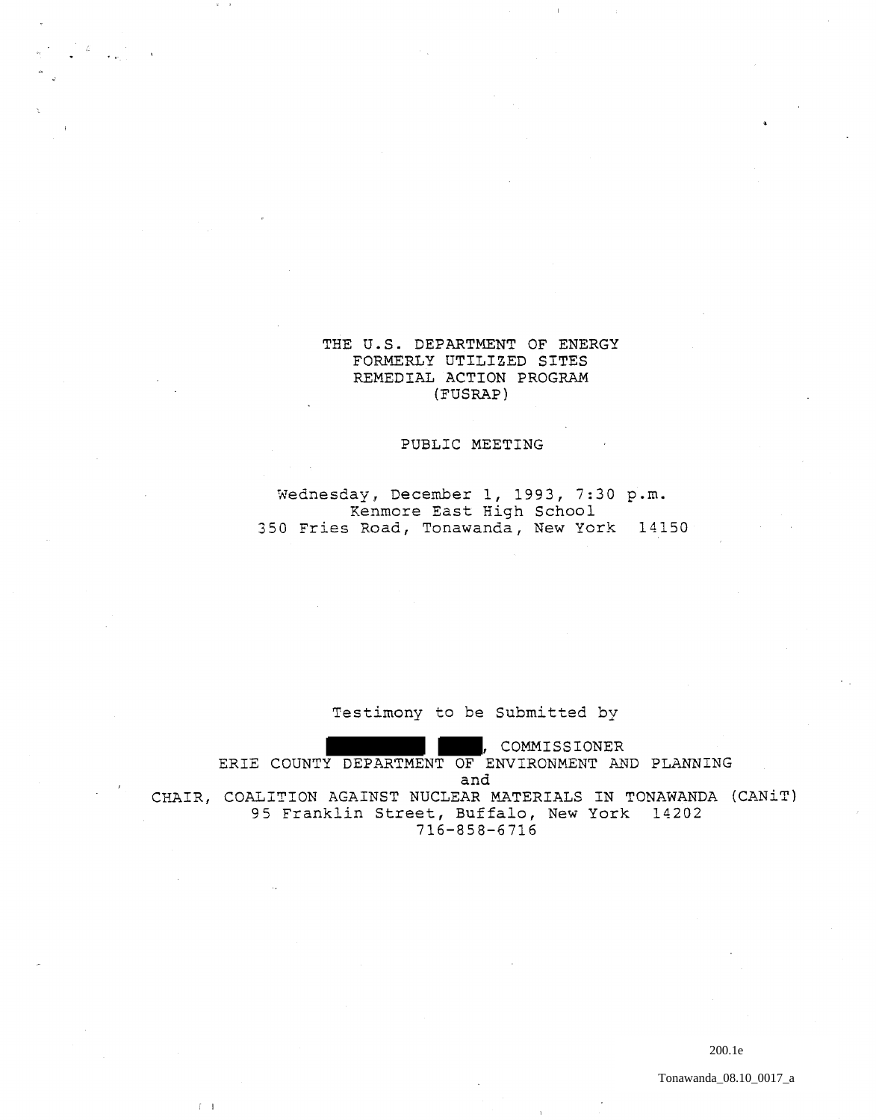# THE U.S. DEPARTMENT OF ENERGY FORMERLY UTILIZED SITES REMEDIAL ACTION PROGRAM (FUSRAP)

## PUBLIC MEETING

Wednesday, December 1, 1993, 7:30 p.m. Kenmore East High School 350 Fries Road, Tonawanda, New york 14150

Testimony to be Submitted by

, COMMISSIONER ERIE COUNTY DEPARTMENT OF ENVIRONMENT AND PLANNING and CHAIR, COALITION AGAINST NUCLEAR MATERIALS IN TONAWANDA (CANiT) 95 Franklin Street, Buffalo, New York 14202 716-858-6716

200.1e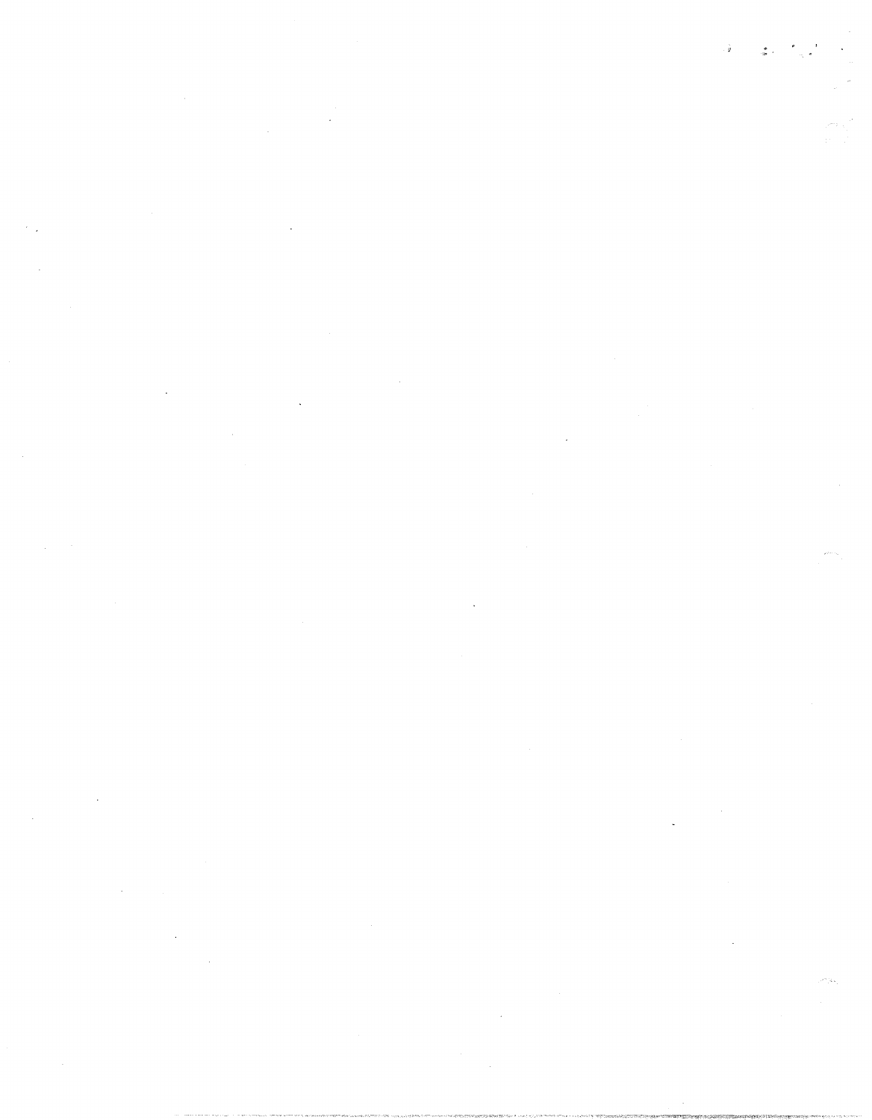$\label{eq:2.1} \frac{1}{\sqrt{2}}\left(\frac{1}{\sqrt{2}}\right)^{2} \left(\frac{1}{\sqrt{2}}\right)^{2} \left(\frac{1}{\sqrt{2}}\right)^{2} \left(\frac{1}{\sqrt{2}}\right)^{2}$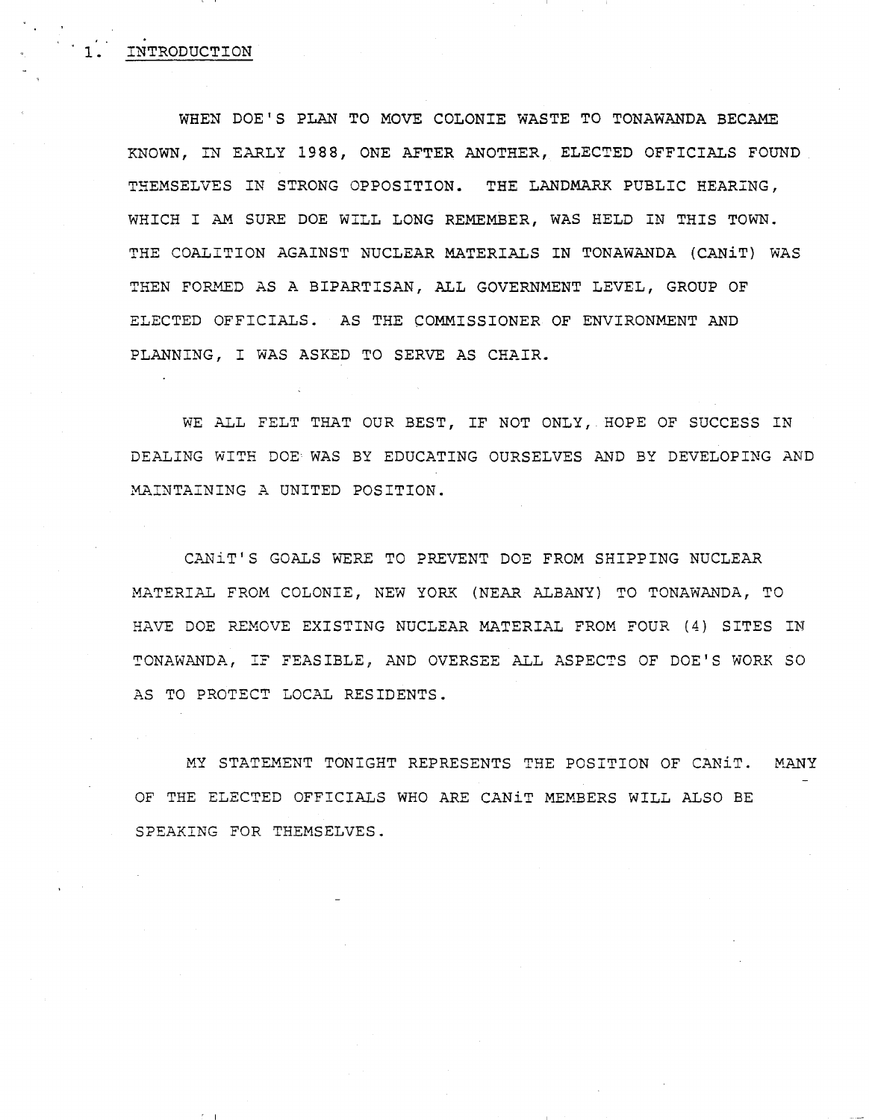$\mathbf{r}$ 

WHEN DOE'S PLAN TO MOVE COLONIE WASTE TO TONAWANDA BECAME KNOWN, IN EARLY 1988, ONE AFTER ANOTHER, ELECTED OFFICIALS FOUND THEMSELVES IN STRONG OPPOSITION. THE LANDMARK PUBLIC HEARING, WHICH I AM SURE DOE WILL LONG REMEMBER, WAS HELD IN THIS TOWN. THE COALITION AGAINST NUCLEAR MATERIALS IN TONAWANDA (CANIT) WAS THEN FORMED AS A BIPARTISAN, ALL GOVERNMENT LEVEL, GROUP OF ELECTED OFFICIALS. AS THE COMMISSIONER OF ENVIRONMENT AND PLANNING, I WAS ASKED TO SERVE AS CHAIR.

WE ALL FELT THAT OUR BEST, IF NOT ONLY, HOPE OF SUCCESS IN DEALING WITH DOE WAS BY EDUCATING OURSELVES AND BY DEVELOPING AND MAINTAINING A UNITED POSITION.

CANIT'S GOALS WERE TO PREVENT DOE FROM SHIPPING NUCLEAR MATERIAL FROM COLONIE, NEW YORK (NEAR ALBANY) TO TONAWANDA, TO HAVE DOE REMOVE EXISTING NUCLEAR MATERIAL FROM FOUR (4) SITES IN TONAWANDA, IF FEASIBLE, AND OVERSEE ALL ASPECTS OF DOE'S WORK SO AS TO PROTECT LOCAL RESIDENTS.

MY STATEMENT TONIGHT REPRESENTS THE POSITION OF CANIT. MANY OF THE ELECTED OFFICIALS WHO ARE CANiT MEMBERS WILL ALSO BE SPEAKING FOR THEMSELVES.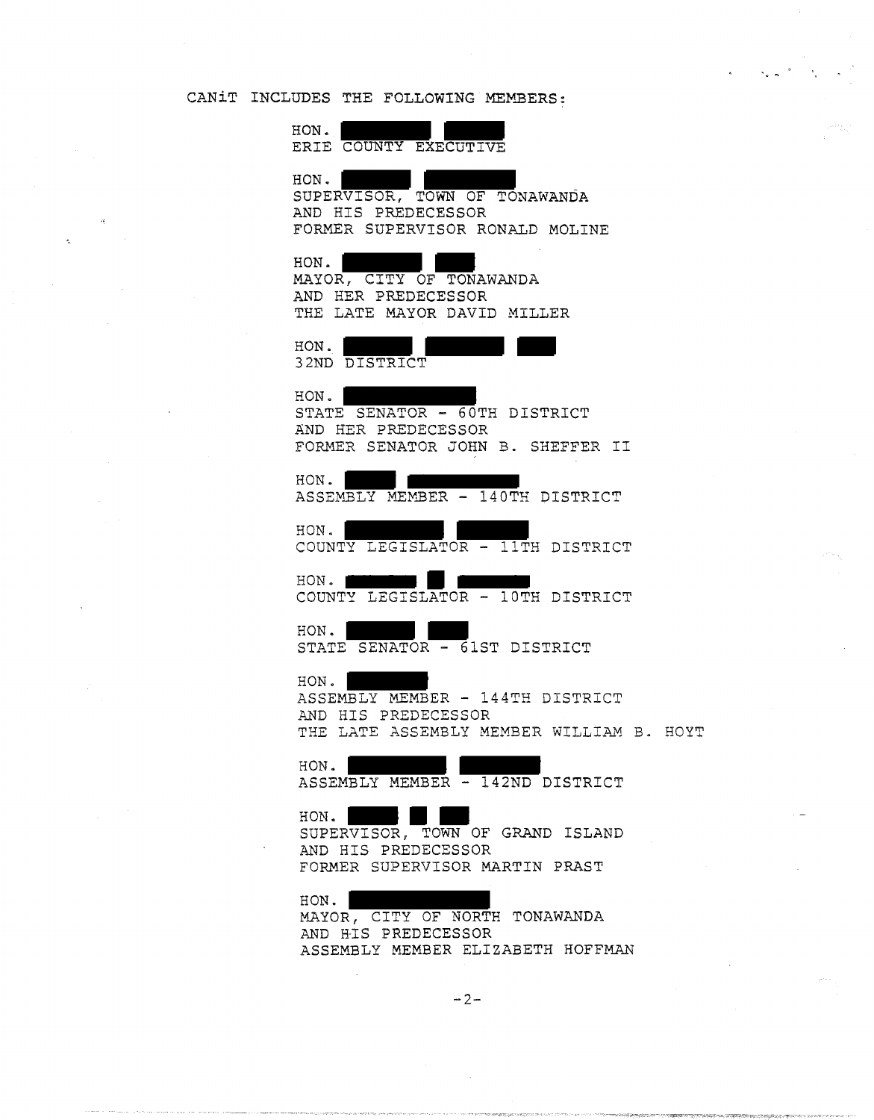### CANIT INCLUDES THE FOLLOWING MEMBERS:

HON. ERIE COUNTY EXECUTIVE HON. SUPERVISOR, TOWN OF TONAWANDA AND HIS PREDECESSOR FORMER SUPERVISOR RONALD MOLINE HON. MAYOR, CITY OF TONAWANDA AND HER PREDECESSOR THE LATE MAYOR DAVID MILLER HON. 32ND DISTRICT HON. STATE SENATOR - 60TH DISTRICT AND HER PREDECESSOR FORMER SENATOR JOHN B. SHEFFER II HON.  $\mathcal{L}$ ASSEMBLY MEMBER - 140TH DISTRICT HON. COUNTY LEGISLATOR - 11TH DISTRICT HON. ▊▐ COUNTY LEGISLATOR - 10TH DISTRICT HON. STATE SENATOR - 61ST DISTRICT HON. ASSEMBLY MEMBER - 144TH DISTRICT AND HIS PREDECESSOR THE LATE ASSEMBLY MEMBER WILLIAM B. HOYT HON. ASSEMBLY MEMBER - 142ND DISTRICT HON. ٠ SUPERVISOR, TOWN OF GRAND ISLAND AND HIS PREDECESSOR FORMER SUPERVISOR MARTIN PRAST HON.

MAYOR, CITY OF NORTH TONAWANDA AND HIS PREDECESSOR ASSEMBLY MEMBER ELIZABETH HOFFMAN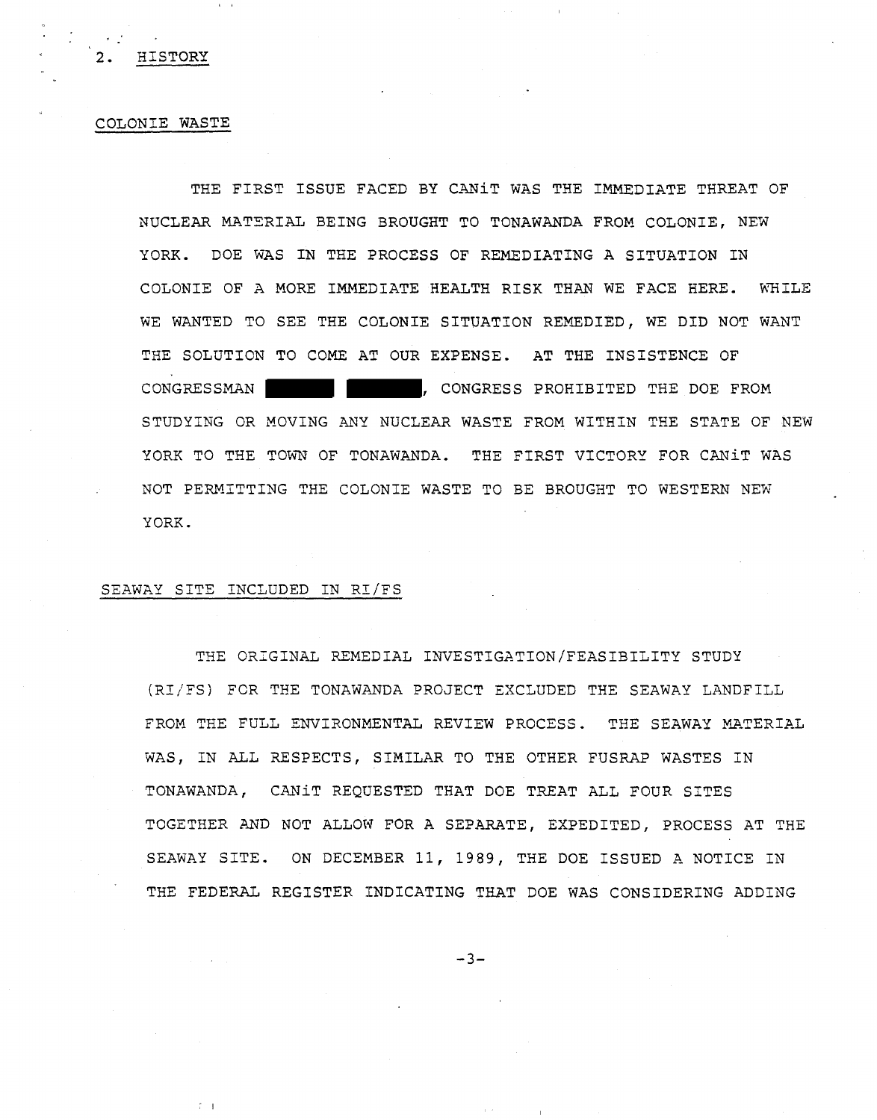**2.** HISTORY

### COLONIE WASTE

THE FIRST ISSUE FACED BY CANiT WAS THE IMMEDIATE THREAT OF NUCLEAR MATERIAL BEING BROUGHT TO TONAWANDA FROM COLONIE, NEW YORK. DOE WAS IN THE PROCESS OF REMEDIATING A SITUATION IN COLONIE OF A MORE IMMEDIATE HEALTH RISK THAN WE FACE HERE. wnILE WE WANTED TO SEE THE COLONIE SITUATION REMEDIED, WE DID NOT WANT THE SOLUTION TO COME AT OUR EXPENSE. AT THE INSISTENCE OF CONGRESSMAN **FOREXELLENT REPORTS PROHIBITED** THE DOE FROM STUDYING OR MOVING ANY NUCLEAR WASTE FROM WITHIN THE STATE OF NEW YORK TO THE TOWN OF TONAWANDA. THE FIRST VICTORY FOR CANIT WAS NOT PERMITTING THE COLONIE WASTE TO BE BROUGHT TO WESTERN NEW YORK.

#### SEAWAY SITE INCLUDED IN RI/FS

 $\mathbf{I}$ 

THE ORIGINAL REMEDIAL INVESTIGATION/FEASIBILITY STUDY (RI/FS) FOR THE TONAWANDA PROJECT EXCLUDED THE SEAWAY LANDFILL FROM THE FULL ENVIRONMENTAL REVIEW PROCESS. THE SEAWAY MATERIAL WAS, IN ALL RESPECTS, SIMILAR TO THE OTHER FUSRAP WASTES IN TONAWANDA, CANiT REQUESTED THAT DOE TREAT ALL FOUR SITES TOGETHER AND NOT ALLOW FOR A SEPARATE, EXPEDITED, PROCESS AT THE SEAWAY SITE. ON DECEMBER 11, 1989, THE DOE ISSUED A NOTICE IN THE FEDERAL REGISTER INDICATING THAT DOE WAS CONSIDERING ADDING

 $-3-$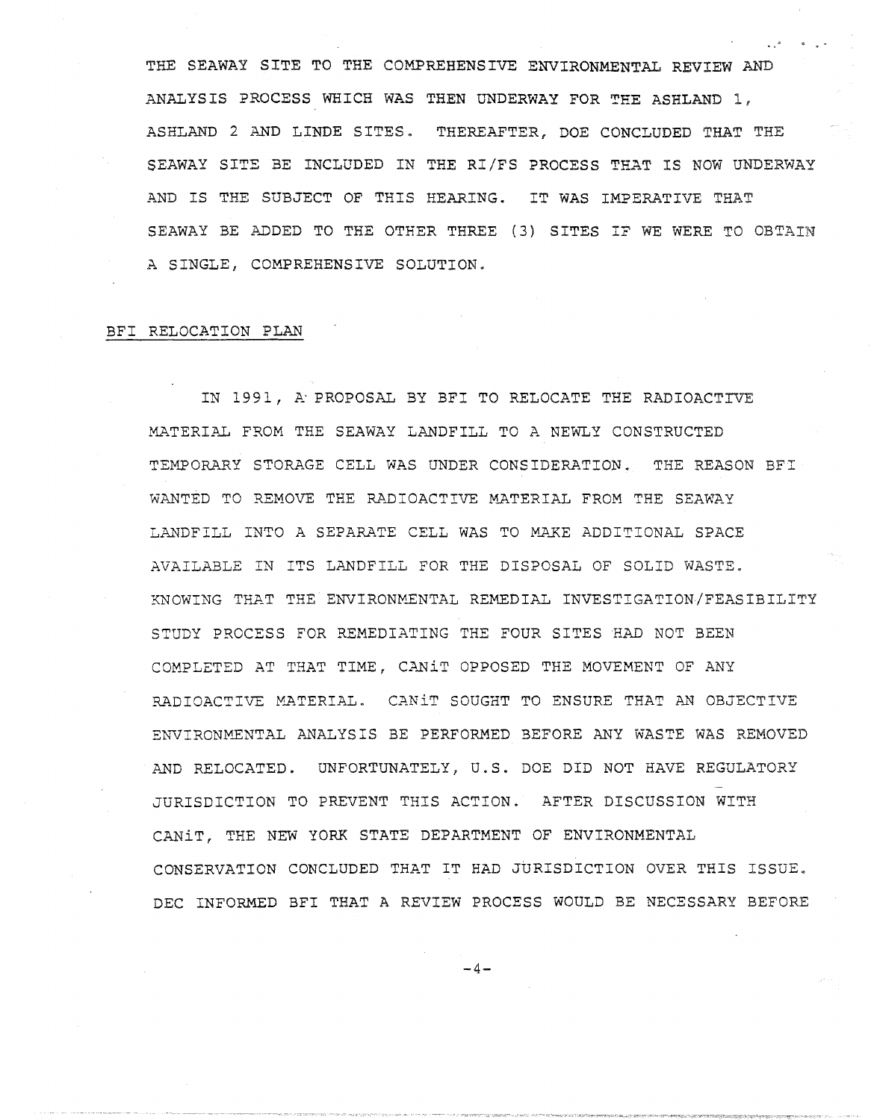THE SEAWAY SITE TO THE COMPREHENSIVE ENVIRONMENTAL REVIEW AND ANALYSIS PROCESS WHICH WAS THEN UNDERWAY FOR THE ASHLAND 1, ASHLAND 2 AND LINDE SITES. THEREAFTER, DOE CONCLUDED THAT THE SEAWAY SITE BE INCLUDED IN THE RI/FS PROCESS THAT IS NOW UNDERWAY AND IS THE SUBJECT OF THIS HEARING. IT WAS IMPERATIVE THAT SEAWAY BE ADDED TO THE OTHER THREE (3) SITES IF WE WERE TO OBTAIN A SINGLE, COMPREHENSIVE SOLUTION.

#### BFI RELOCATION PLAN

IN 1991, A- PROPOSAL BY BFI TO RELOCATE THE RADIOACTIVE MATERIAL FROM THE SEAWAY LANDFILL TO A NEWLY CONSTRUCTED TEMPORARY STORAGE CELL WAS UNDER CONSIDERATION. THE REASON BFI WANTED TO REMOVE THE RADIOACTIVE MATERIAL FROM THE SEAWAY LANDFILL INTO A SEPARATE CELL WAS TO MAKE ADDITIONAL SPACE AVAILABLE IN ITS LANDFILL FOR THE DISPOSAL OF SOLID WASTE. KNOWING THAT THE ENVIRONMENTAL REMEDIAL INVESTIGATION/FEASIBILITY STUDY PROCESS FOR REMEDIATING THE FOUR SITES HAD NOT BEEN COMPLETED AT THAT TIME, CANIT OPPOSED THE MOVEMENT OF ANY RADIOACTIVE MATERIAL. CANIT SOUGHT TO ENSURE THAT AN OBJECTIVE ENVIRONMENTAL ANALYSIS BE PERFORMED BEFORE ANY WASTE WAS REMOVED AND RELOCATED. UNFORTUNATELY, U.S. DOE DID NOT HAVE REGULATORY JURISDICTION TO PREVENT THIS ACTION. AFTER DISCUSSION WITH CANiT, THE NEW YORK STATE DEPARTMENT OF ENVIRONMENTAL CONSERVATION CONCLUDED THAT IT HAD JURISDICTION OVER THIS ISSUE. DEC INFORMED BFI THAT A REVIEW PROCESS WOULD BE NECESSARY BEFORE

 $-4-$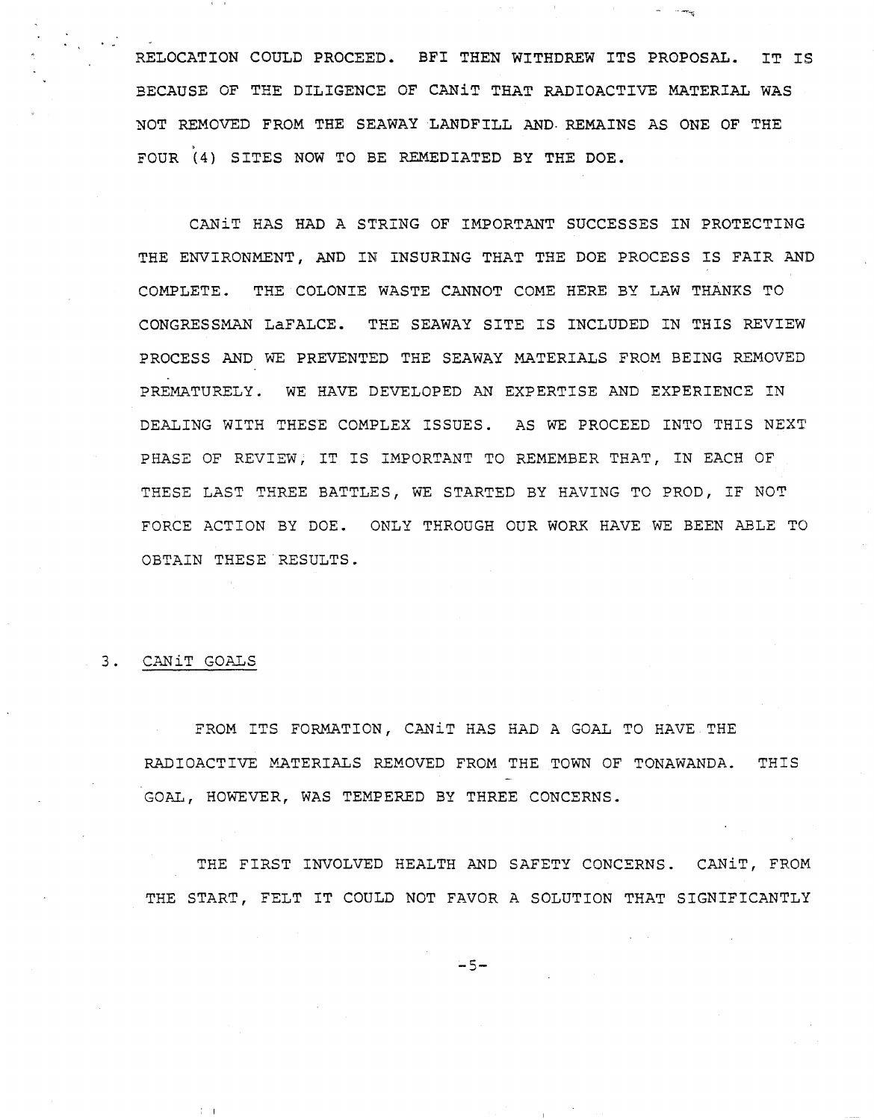RELOCATION COULD PROCEED. BFI THEN WITHDREW ITS PROPOSAL. IT IS BECAUSE OF THE DILIGENCE OF CANIT THAT RADIOACTIVE MATERIAL WAS NOT REMOVED FROM THE SEAWAY LANDFILL AND· REMAINS AS ONE OF THE FOUR (4) SITES NOW TO BE REMEDIATED BY THE DOE.

CANIT HAS HAD A STRING OF IMPORTANT SUCCESSES IN PROTECTING THE ENVIRONMENT, AND IN INSURING THAT THE DOE PROCESS IS FAIR AND COMPLETE. THE COLONIE WASTE CANNOT COME HERE BY LAW THANKS TO CONGRESSMAN LaFALCE. THE SEAWAY SITE IS INCLUDED IN THIS REVIEW PROCESS AND WE PREVENTED THE SEAWAY MATERIALS FROM BEING REMOVED PREMATURELY. WE HAVE DEVELOPED AN EXPERTISE AND EXPERIENCE IN DEALING WITH THESE COMPLEX ISSUES. AS WE PROCEED INTO THIS NEXT PHASE OF REVIEW, IT IS IMPORTANT TO REMEMBER THAT, IN EACH OF THESE LAST THREE BATTLES, WE STARTED BY HAVING TO PROD, IF NOT FORCE ACTION BY DOE. ONLY THROUGH OUR WORK HAVE WE BEEN ABLE TO OBTAIN THESE RESULTS.

# 3. CANiT GOALS

FROM ITS FORMATION, CANIT HAS HAD A GOAL TO HAVE THE RADIOACTIVE MATERIALS REMOVED FROM THE TOWN OF TONAWANDA. THIS GOAL, HOWEVER, WAS TEMPERED BY THREE CONCERNS.

THE FIRST INVOLVED HEALTH AND SAFETY CONCERNS. CANiT, FROM THE START, FELT IT COULD NOT FAVOR A SOLUTION THAT SIGNIFICANTLY

 $-5-$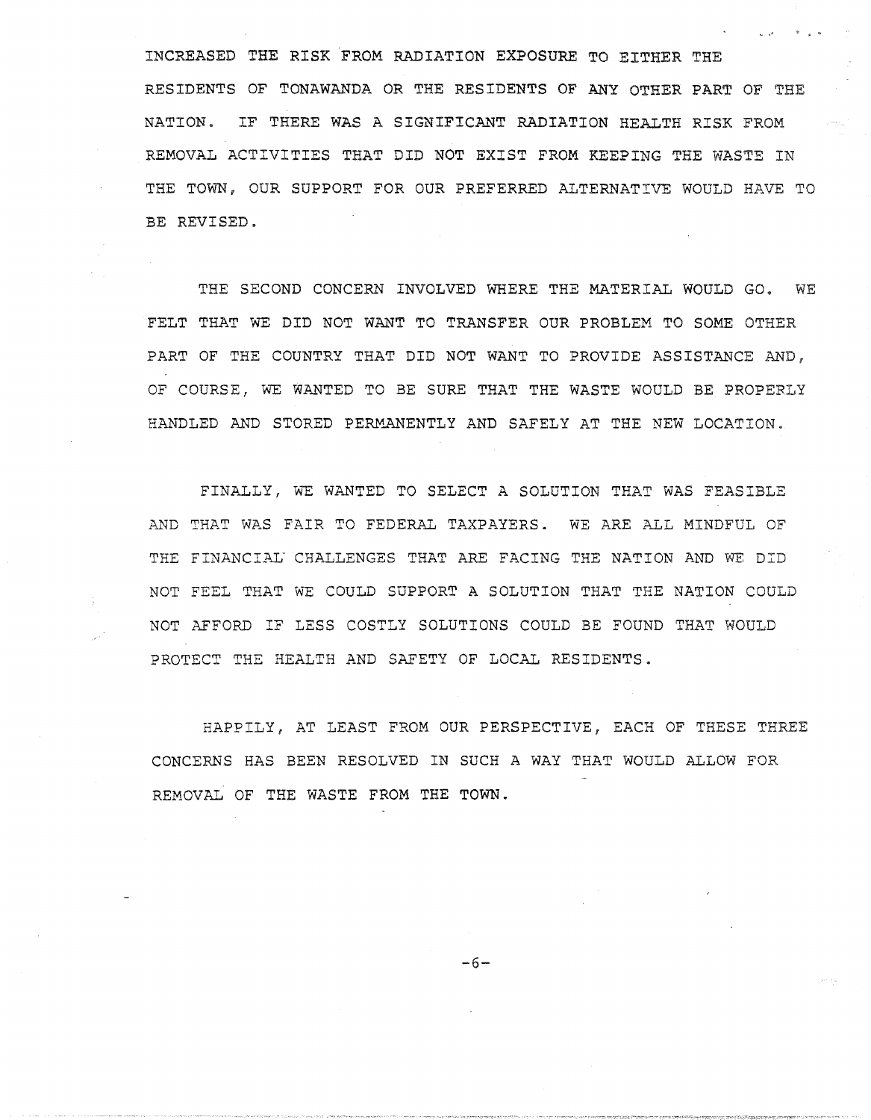INCREASED THE RISK FROM RADIATION EXPOSURE TO EITHER THE RESIDENTS OF TONAWANDA OR THE RESIDENTS OF ANY OTHER PART OF THE NATION. IF THERE WAS A SIGNIFICANT RADIATION HEALTH RISK FROM REMOVAL ACTIVITIES THAT DID NOT EXIST FROM KEEPING THE WASTE IN THE TOWN, OUR SUPPORT FOR OUR PREFERRED ALTERNATIVE WOULD HAVE TO BE REVISED.

**Controller** 

THE SECOND CONCERN INVOLVED WHERE THE MATERIAL WOULD GO. WE FELT THAT WE DID NOT WANT TO TRANSFER OUR PROBLEM TO SOME OTHER PART OF THE COUNTRY THAT DID NOT WANT TO PROVIDE ASSISTANCE AND, OF COURSE, WE WANTED TO BE SURE THAT THE WASTE WOULD BE PROPERLY HANDLED AND STORED PERMANENTLY AND SAFELY AT THE NEW LOCATION.

FINALLY, We WANTED TO SELECT A SOLUTION THAT WAS FEASIBLE AND THAT WAS FAIR TO FEDERAL TAXPAYERS. WE ARE ALL MINDFUL OF THE FINANCIAL CHALLENGES THAT ARE FACING THE NATION AND WE DID NOT FEEL THAT We COULD SUPPORT A SOLUTION THAT THE NATION COULD NOT AFFORD IF LESS COSTLY SOLUTIONS COULD BE FOUND THAT WOULD PROTECT THE HEALTH AND SAFETY OF LOCAL RESIDENTS.

HAPPILY, AT LEAST FROM OUR PERSPECTIVE, EACH OF THESE THREE CONCERNS HAS BEEN RESOLVED IN SUCH A WAY THAT WOULD ALLOW FOR REMOVAL OF THE WASTE FROM THE TOWN.

 $-6-$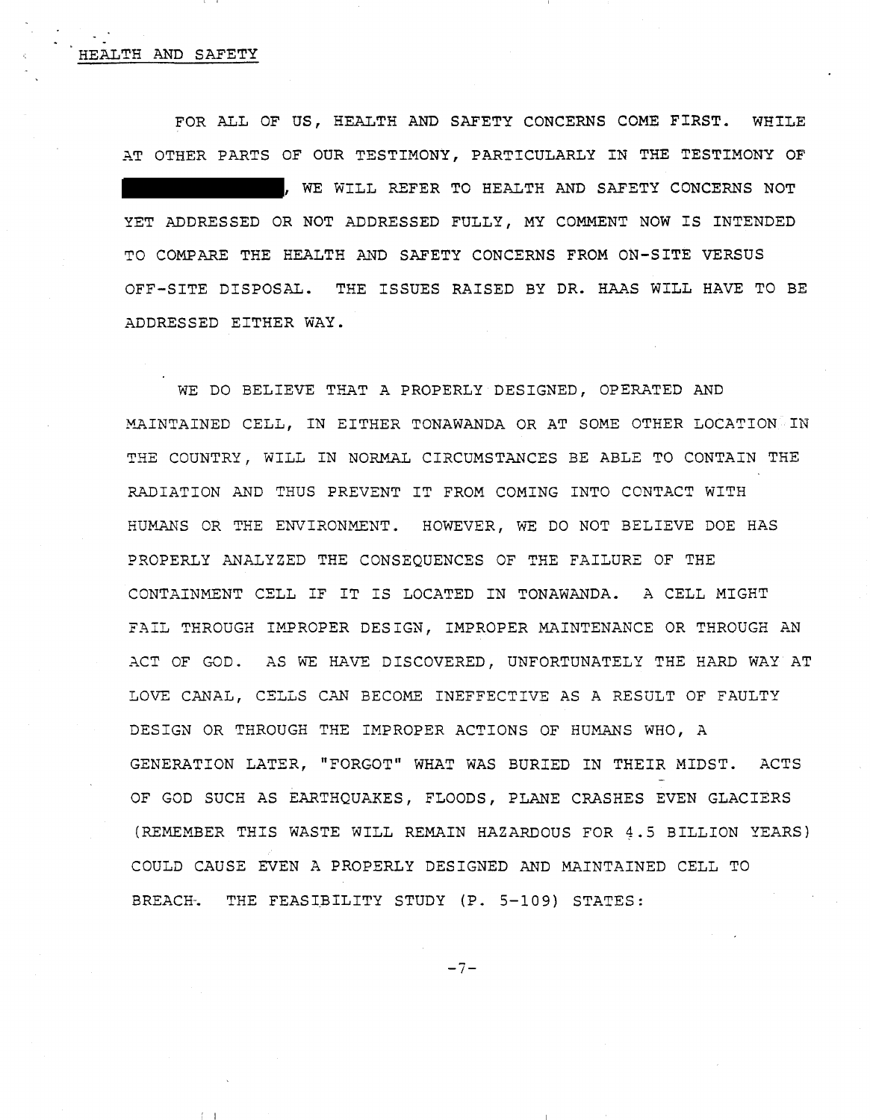FOR ALL OF US, HEALTH AND SAFETY CONCERNS COME FIRST. WHILE AT OTHER PARTS OF OUR TESTIMONY, PARTICULARLY IN THE TESTIMONY OF

, WE WILL REFER TO HEALTH AND SAFETY CONCERNS NOT YET ADDRESSED OR NOT ADDRESSED FULLY, MY COMMENT NOW IS INTENDED TO COMPARE THE HEALTH AND SAFETY CONCERNS FROM ON-SITE VERSUS OFF-SITE DISPOSAL. THE ISSUES RAISED BY DR. HAAS WILL HAVE TO BE ADDRESSED EITHER WAY.

WE DO BELIEVE THAT A PROPERLY DESIGNED, OPERATED AND MAINTAINED CELL, IN EITHER TONAWANDA OR AT SOME OTHER LOCATION IN THE COUNTRY, WILL IN NORMAL CIRCUMSTANCES BE ABLE TO CONTAIN THE RADIATION AND THUS PREVENT IT FROM COMING INTO CONTACT WITH HUMANS OR THE ENVIRONMENT. HOWEVER, WE DO NOT BELIEVE DOE HAS PROPERLY ANALYZED THE CONSEQUENCES OF THE FAILURE OF THE CONTAINMENT CELL IF IT IS LOCATED IN TONAWANDA. A CELL MIGHT FAIL THROUGH IMPROPER DESIGN, IMPROPER MAINTENANCE OR THROUGH AN ACT OF GOD. AS WE HAVE DISCOVERED, UNFORTUNATELY THE HARD WAY AT LOVE CANAL, CELLS CAN BECOME INEFFECTIVE AS A RESULT OF FAULTY DESIGN OR THROUGH THE IMPROPER ACTIONS OF HUMANS WHO, A GENERATION LATER, "FORGOT" WHAT WAS BURIED IN THEIR MIDST. ACTS OF GOD SUCH AS EARTHQUAKES, FLOODS, PLANE CRASHES EVEN GLACIERS (REMEMBER THIS WASTE WILL REMAIN HAZARDOUS FOR 4.5 BILLION YEARS) COULD CAUSE EVEN A PROPERLY DESIGNED AND MAINTAINED CELL TO BREACH. THE FEASIBILITY STUDY (P. 5-109) STATES:

 $-7-$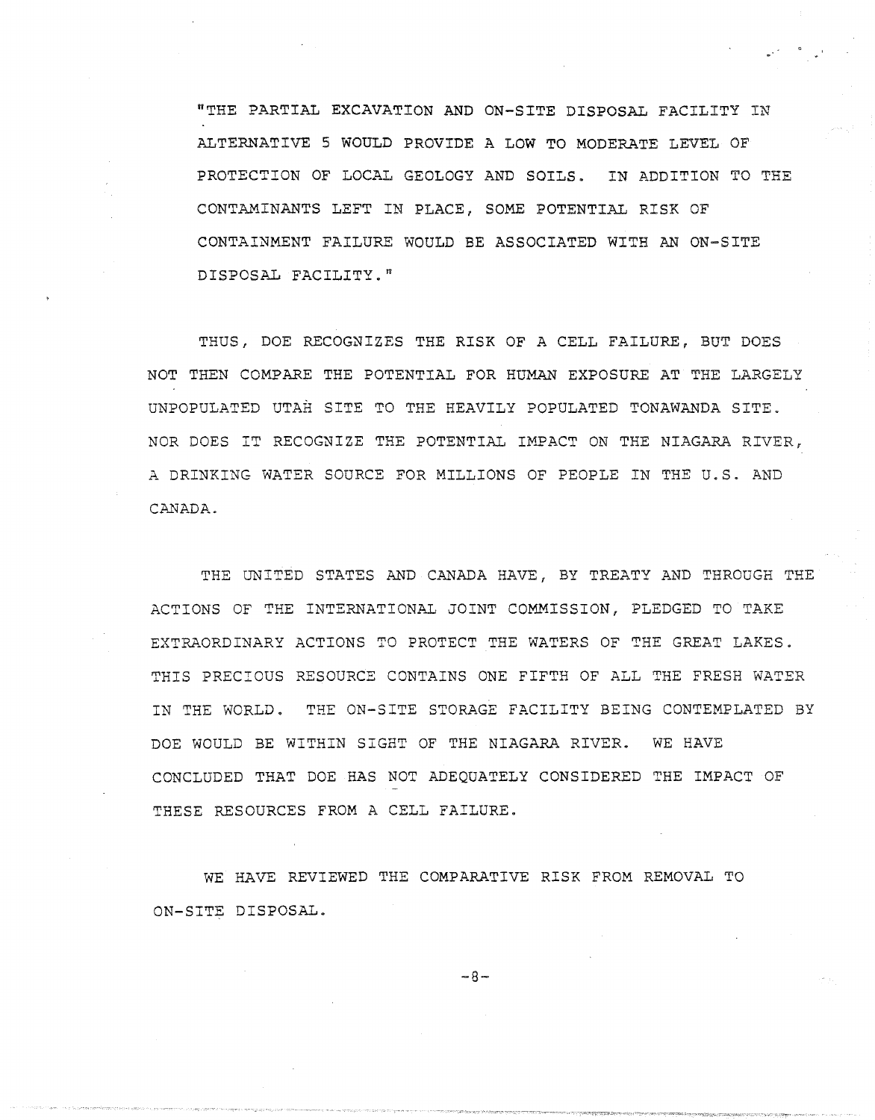"THE PARTIAL EXCAVATION AND ON-SITE DISPOSAL FACILITY IN ALTERNATIVE 5 WOULD PROVIDE A LOW TO MODERATE LEVEL OF PROTECTION OF LOCAL GEOLOGY AND SOILS. IN ADDITION TO THE CONTAMINANTS LEFT IN PLACE, SOME POTENTIAL RISK OF CONTAINMENT FAILURE WOULD BE ASSOCIATED WITH AN ON-SITE DISPOSAL FACILITY."

THUS, DOE RECOGNIZES THE RISK OF A CELL FAILURE, BUT DOES NOT THEN COMPARE THE POTENTIAL FOR HUMAN EXPOSURE AT THE LARGELY UNPOPULATED UTAH SITE TO THE HEAVILY POPULATED TONAWANDA SITE. NOR DOES IT RECOGNIZE THE POTENTIAL IMPACT ON THE NIAGARA RIVER, A DRINKING WATER SOURCE FOR MILLIONS OF PEOPLE IN THE U.S. AND CANADA.

THE UNITED STATES AND CANADA HAVE, BY TREATY AND THROUGH THE ACTIONS OF THE INTERNATIONAL JOINT COMMISSION, PLEDGED TO TAKE EXTRAORDINARY ACTIONS TO PROTECT THE WATERS OF THE GREAT LAKES. THIS PRECIOUS RESOURCE CONTAINS ONE FIFTH OF ALL THE FRESH WATER IN THE WORLD. THE ON-SITE STORAGE FACILITY BEING CONTEMPLATED BY DOE WOULD BE WITHIN SIGHT OF THE NIAGARA RIVER. WE HAVE CONCLUDED THAT DOE HAS NOT ADEQUATELY CONSIDERED THE IMPACT OF THESE RESOURCES FROM A CELL FAILURE.

WE HAVE REVIEWED THE COMPARATIVE RISK FROM REMOVAL TO ON-SITE DISPOSAL.

-8-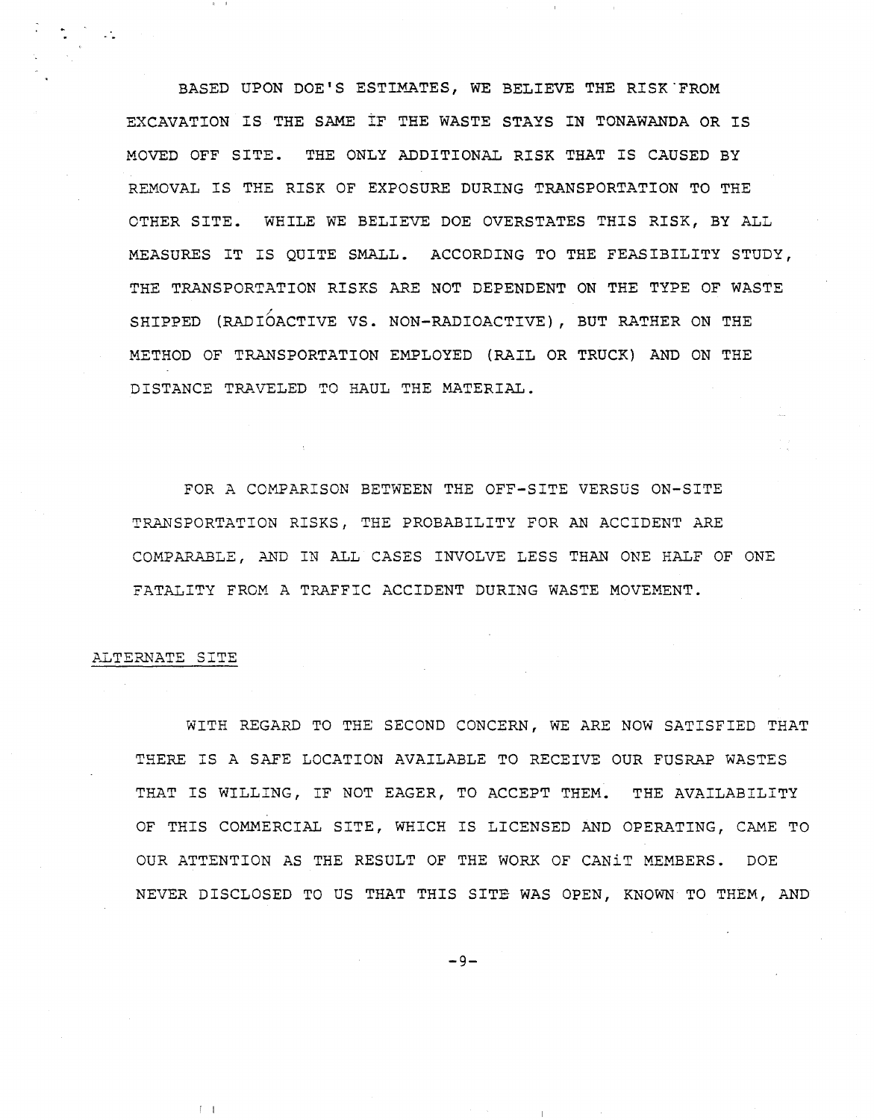BASED UPON DOE'S ESTIMATES, WE BELIEVE THE RISK FROM EXCAVATION IS THE SAME IF THE WASTE STAYS IN TONAWANDA OR IS MOVED OFF SITE. THE ONLY ADDITIONAL RISK THAT IS CAUSED BY REMOVAL IS THE RISK OF EXPOSURE DURING TRANSPORTATION TO THE OTHER SITE. WHILE WE BELIEVE DOE OVERSTATES THIS RISK, BY ALL MEASURES IT IS QUITE SMALL. ACCORDING TO THE FEASIBILITY STUDY, THE TRANSPORTATION RISKS ARE NOT DEPENDENT ON THE TYPE OF WASTE SHIPPED (RADIÓACTIVE VS. NON-RADIOACTIVE), BUT RATHER ON THE METHOD OF TRANSPORTATION EMPLOYED (RAIL OR TRUCK) AND ON THE DISTANCE TRAVELED TO HAUL THE MATERIAL.

FOR A COMPARISON BETWEEN THE OFF-SITE VERSUS ON-SITE TRANSPORTATION RISKS, THE PROBABILITY FOR AN ACCIDENT ARE COMPARABLE, AND IN ALL CASES INVOLVE LESS THAN ONE HALF OF ONE FATALITY FROM A TRAFFIC ACCIDENT DURING WASTE MOVEMENT.

### ALTERNATE SITE

f I

WITH REGARD TO THE SECOND CONCERN, WE ARE NOW SATISFIED THAT THERE IS A SAFE LOCATION AVAILABLE TO RECEIVE OUR FUSRAP WASTES THAT IS WILLING, IF NOT EAGER, TO ACCEPT THEM. THE AVAILABILITY OF THIS COMMERCIAL SITE, WHICH IS LICENSED AND OPERATING, CAME TO OUR ATTENTION AS THE RESULT OF THE WORK OF CANiT MEMBERS. DOE NEVER DISCLOSED TO US THAT THIS SITE WAS OPEN, KNOWN TO THEM, AND

 $-9-$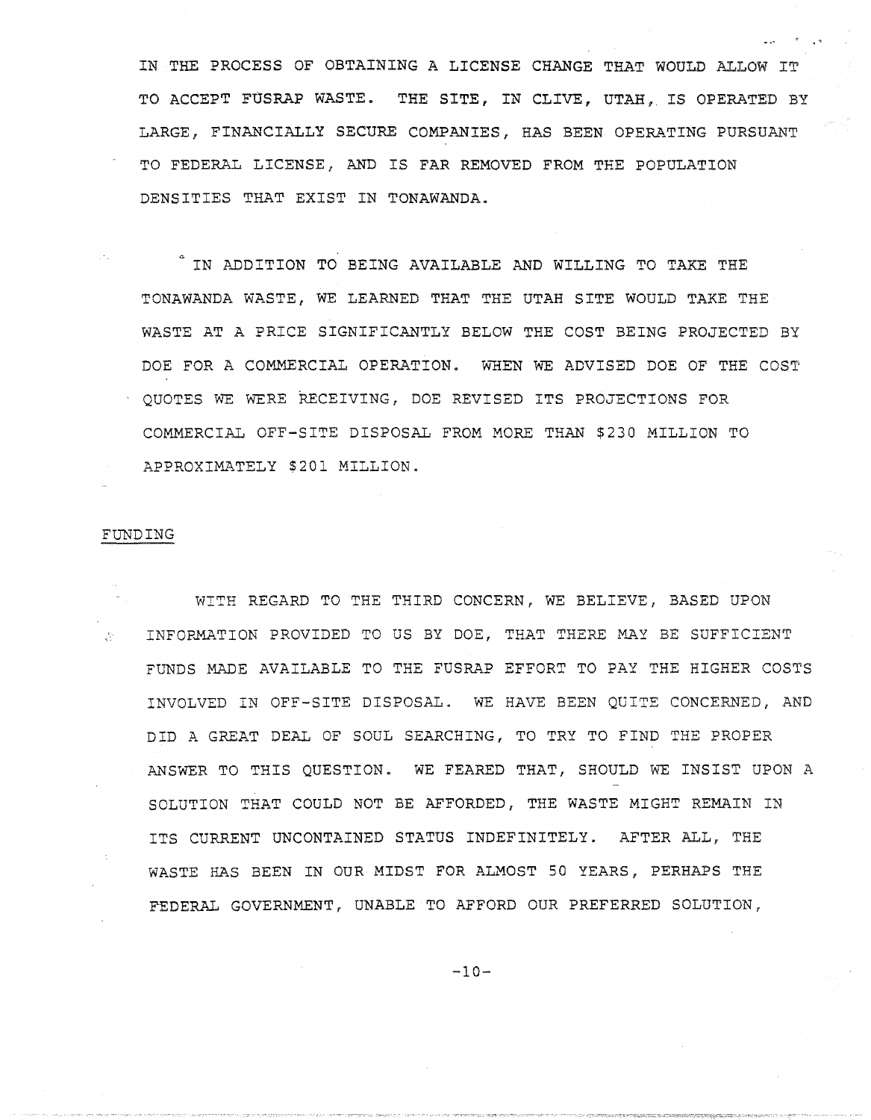IN THE PROCESS OF OBTAINING A LICENSE CHANGE THAT WOULD ALLOW IT TO ACCEPT FUSRAP WASTE. THE SITE, IN CLIVE, UTAH, IS OPERATED BY LARGE, FINANCIALLY SECURE COMPANIES. HAS BEEN OPERATING PURSUANT TO FEDERAL LICENSE, AND IS FAR REMOVED FROM THE POPULATION DENSITIES THAT EXIST IN TONAWANDA.

0'

 $\degree$  IN ADDITION TO BEING AVAILABLE AND WILLING TO TAKE THE TONAWANDA WASTE, WE LEARNED THAT THE UTAH SITE WOULD TAKE THE WASTE AT A PRICE SIGNIFICANTLY BELOW THE COST BEING PROJECTED BY DOE FOR A COMMERCIAL OPERATION. WHEN WE ADVISED DOE OF THE COST OUOTES WE WERE RECEIVING, DOE REVISED ITS PROJECTIONS FOR COMMERCIAL OFF-SITE DISPOSAL FROM MORE THAN \$230 MILLION TO APPROXIMATELY \$201 MILLION.

## FUNDING

 $\frac{1}{2} \sum_{i=1}^{N} \frac{1}{2} \left( \frac{1}{2} \right)^2$ 

 $\mathbb{R}^n$  .

WITH REGARD TO THE THIRD CONCERN, WE BELIEVE, BASED UPON INFOPMATION PROVIDED TO US BY DOE, THAT THERE MAY BE SUFFICIENT FUNDS MADE AVAILABLE TO THE FUSRAP EFFORT TO PAY THE HIGHER COSTS INVOLVED IN OFF-SITE DISPOSAL. WE HAVE BEEN QUITE CONCERNED, AND DID A GREAT DEAL OF SOUL SEARCHING, TO TRY TO FIND THE PROPER ANSWER TO THIS QUESTION. WE FEARED THAT, SHOULD WE INSIST UPON A SOLUTION THAT COULD NOT BE AFFORDED, THE WASTE MIGHT REMAIN IN ITS CURRENT UNCONTAINED STATUS INDEFINITELY. AFTER ALL, THE WASTE HAS BEEN IN OUR MIDST FOR ALMOST 50 YEARS, PERHAPS THE FEDERAL GOVERNMENT, UNABLE TO AFFORD OUR PREFERRED SOLUTION,

 $-10-$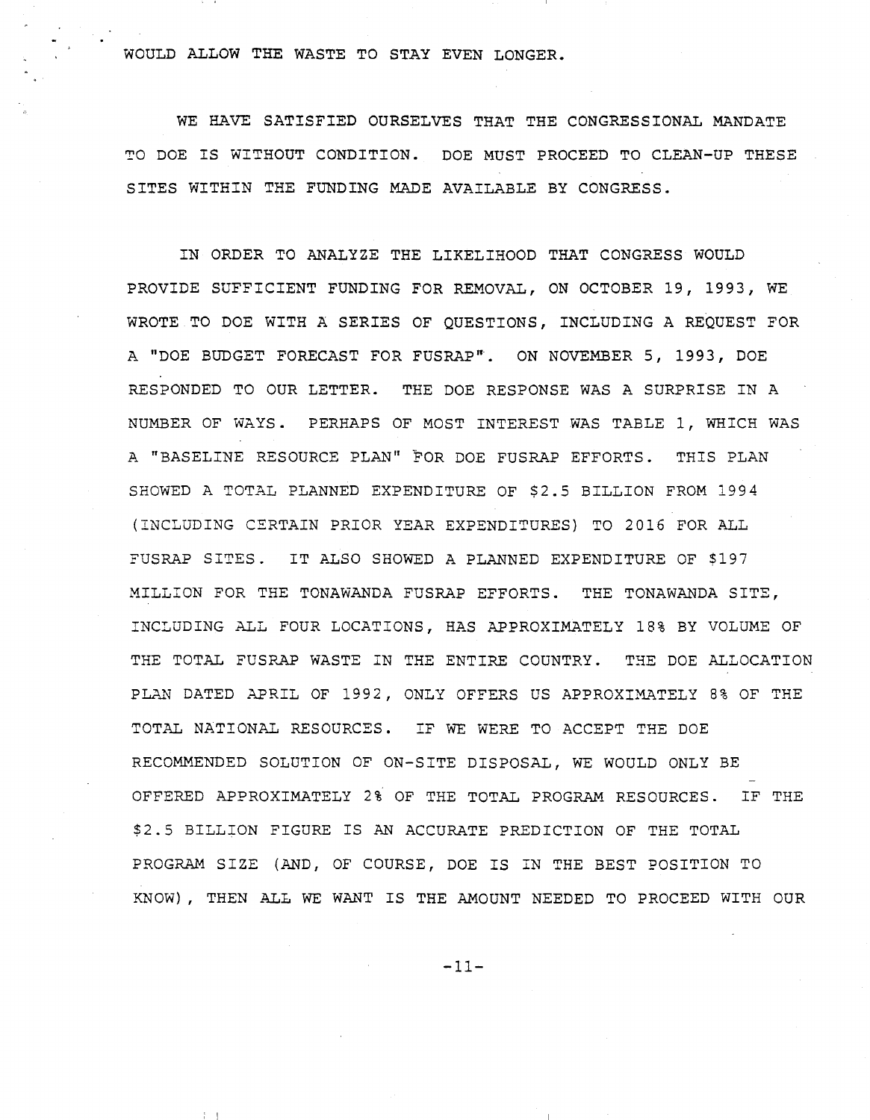WOULD ALLOW THE WASTE TO STAY EVEN LONGER.

WE HAVE SATISFIED OURSELVES THAT THE CONGRESSIONAL MANDATE TO DOE IS WITHOUT CONDITION. DOE MUST PROCEED TO CLEAN-UP THESE SITES WITHIN THE FUNDING MADE AVAILABLE BY CONGRESS.

IN ORDER TO ANALYZE THE LIKELIHOOD THAT CONGRESS WOULD PROVIDE SUFFICIENT FUNDING FOR REMOVAL, ON OCTOBER 19, 1993, WE WROTE TO DOE WITH A SERIES OF QUESTIONS, INCLUDING A REQUEST FOR A "DOE BUDGET FORECAST FOR FUSRAP". ON NOVEMBER 5, 1993, DOE RESPONDED TO OUR LETTER. THE DOE RESPONSE WAS A SURPRISE IN A NUMBER OF WAYS. PERHAPS OF MOST INTEREST WAS TABLE I, WHICH WAS A "BASELINE RESOURCE PLAN" FOR DOE FUSRAP EFFORTS. THIS PLAN SHOWED A TOTAL PLANNED EXPENDITURE OF \$2.5 BILLION FROM 1994 (INCLUDING CERTAIN PRIOR YEAR EXPENDITURES) TO 2016 FOR ALL FUSRAP SITES. IT ALSO SHOWED A PLANNED EXPENDITURE OF \$197 MILLION FOR THE TONAWANDA FUSRAP EFFORTS. THE TONAWANDA SITE, INCLUDING ALL FOUR LOCATIONS, HAS APPROXIMATELY 18% BY VOLUME OF THE TOTAL FUSRAP WASTE IN THE ENTIRE COUNTRY. THE DOE ALLOCATION PLAN DATED APRIL OF 1992, ONLY OFFERS US APPROXIMATELY 8% OF THE TOTAL NATIONAL RESOURCES. IF WE WERE TO ACCEPT THE DOE RECOMMENDED SOLUTION OF ON-SITE DISPOSAL, WE WOULD ONLY BE OFFERED APPROXIMATELY 2% OF THE TOTAL PROGRAM RESOURCES. IF THE \$2.5 BILLION FIGURE IS AN ACCURATE PREDICTION OF THE TOTAL PROGRAM SIZE (AND, OF COURSE, DOE IS IN THE BEST POSITION TO KNOW), THEN ALL WE WANT IS THE AMOUNT NEEDED TO PROCEED WITH OUR

-11-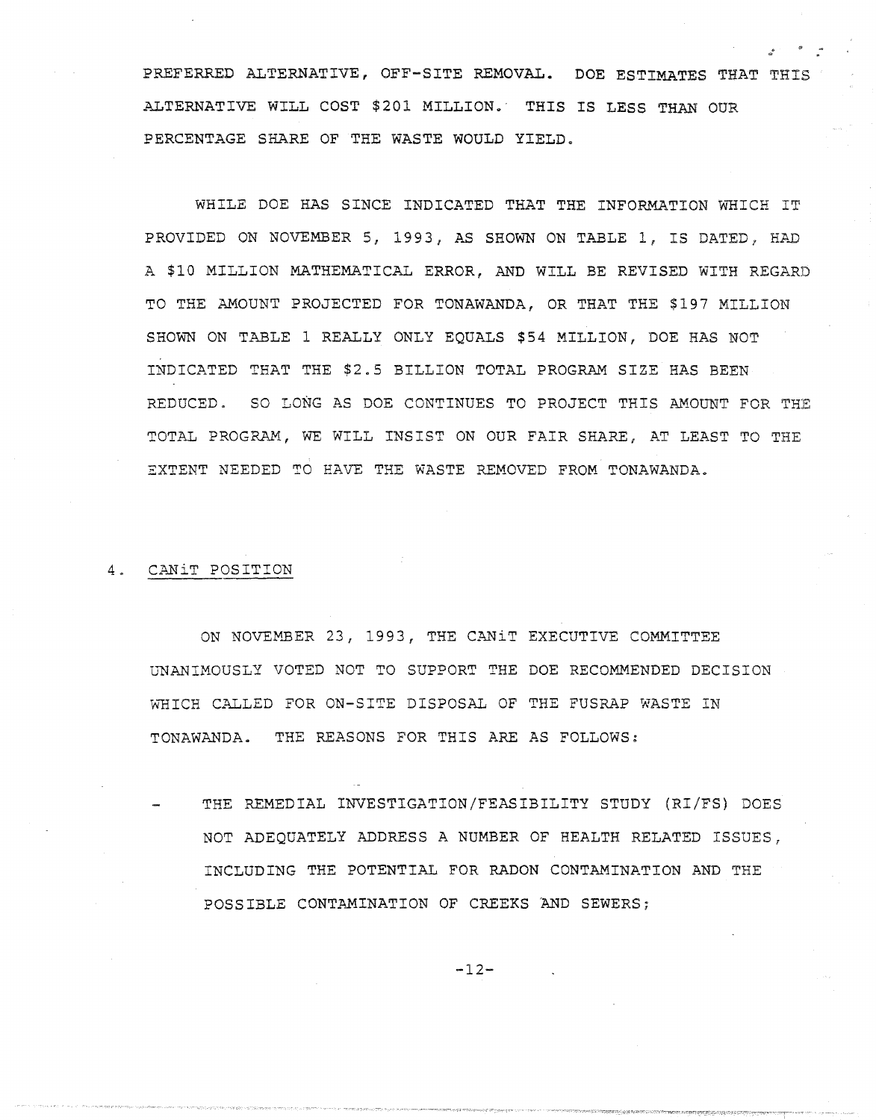PREFERRED ALTERNATIVE, OFF-SITE REMOVAL. DOE ESTIMATES THAT THIS ALTERNATIVE WILL COST \$201 MILLION. THIS IS LESS THAN OUR PERCENTAGE SHARE OF THE WASTE WOULD YIELD.

· -

WHILE DOE HAS SINCE INDICATED THAT THE INFORMATION WHICH IT PROVIDED ON NOVEMBER 5, 1993, AS SHOWN ON TABLE 1, IS DATED, HAD A \$10 MILLION MATHEMATICAL ERROR, AND WILL BE REVISED WITH REGARD TO THE AMOUNT PROJECTED FOR TONAWANDA, OR THAT THE \$197 MILLION SHOWN ON TABLE 1 REALLY ONLY EQUALS \$54 MILLION, DOE HAS NOT INDICATED THAT THE \$2.5 BILLION TOTAL PROGRAM SIZE HAS BEEN REDUCED. SO LONG AS DOE CONTINUES TO PROJECT THIS AMOUNT FOR THE TOTAL PROGRAM, WE WILL INSIST ON OUR FAIR SHARE, AT LEAST TO THE EXTENT NEEDED TO HAVE THE WASTE REMOVED FROM TONAWANDA.

4. CANiT POSITION

ON NOVEMBER 23, 1993, THE CANIT EXECUTIVE COMMITTEE UNANIMOUSLY VOTED NOT TO SUPPORT THE DOE RECOMMENDED DECISION WhICH CALLED FOR ON-SITE DISPOSAL OF THE FUSRAP WASTE IN TONAWANDA. THE REASONS FOR THIS ARE AS FOLLOWS:

THE REMEDIAL INVESTIGATION/FEASIBILITY STUDY (RI/FS) DOES NOT ADEQUATELY ADDRESS A NUMBER OF HEALTH RELATED ISSUES, INCLUDING THE POTENTIAL FOR RADON CONTAMINATION AND THE POSSIBLE CONTAMINATION OF CREEKS AND SEWERS;

-12-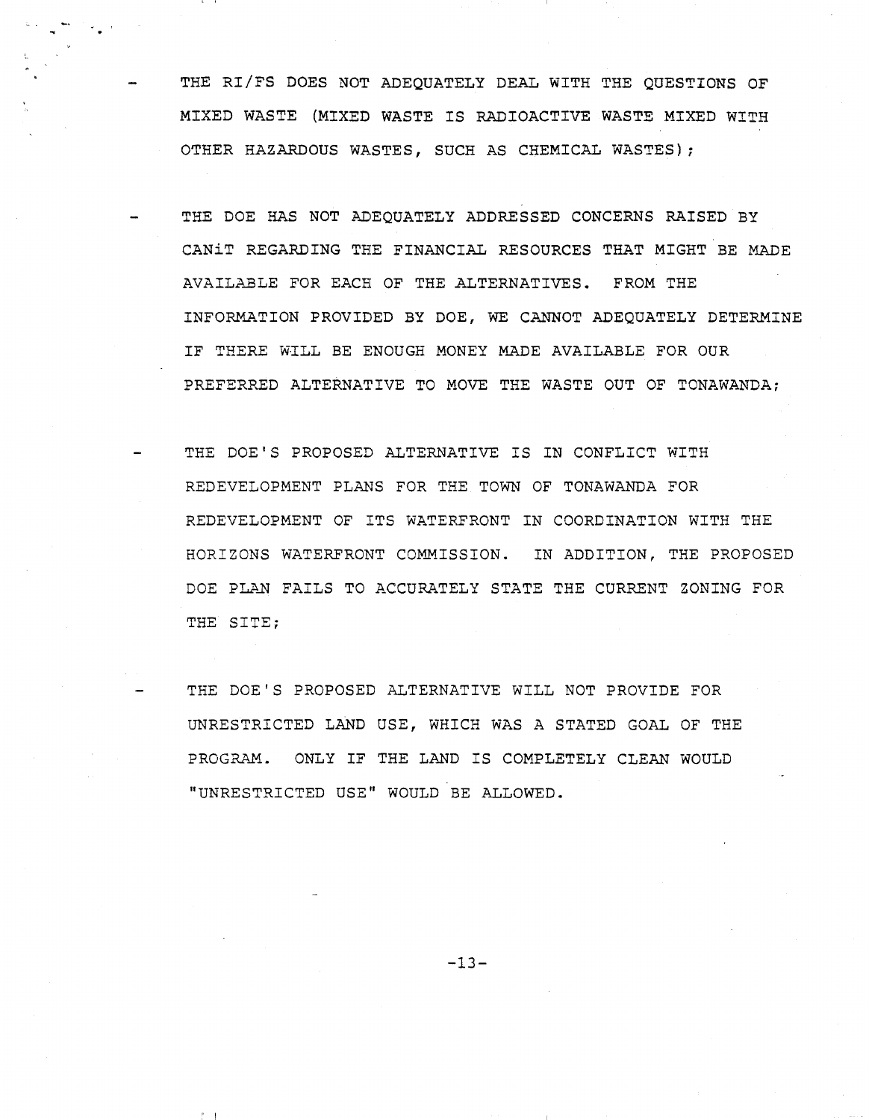THE RI/FS DOES NOT ADEQUATELY DEAL WITH THE QUESTIONS OF MIXED WASTE (MIXED WASTE IS RADIOACTIVE WASTE MIXED WITH OTHER HAZARDOUS WASTES, SUCH AS CHEMICAL WASTES);

- THE DOE HAS NOT ADEQUATELY ADDRESSED CONCERNS RAISED BY CANiT REGARDING THE FINANCIAL RESOURCES THAT MIGHT BE MADE AVAILABLE FOR EACH OF THE ALTERNATIVES. FROM THE INFORMATION PROVIDED BY DOE, WE CANNOT ADEQUATELY DETERMINE IF THERE WILL BE ENOUGH MONEY MADE AVAILABLE FOR OUR PREFERRED ALTERNATIVE TO MOVE THE WASTE OUT OF TONAWANDA;
- THE DOE'S PROPOSED ALTERNATIVE IS IN CONFLICT WITH REDEVELOPMENT PLANS FOR THE TOWN OF TONAWANDA FOR REDEVELOPMENT OF ITS WATERFRONT IN COORDINATION WITH THE HORIZONS WATERFRONT COMMISSION. IN ADDITION, THE PROPOSED DOE PLAN FAILS TO ACCURATELY STATE THE CURRENT ZONING FOR THE SITE;

THE DOE'S PROPOSED ALTERNATIVE WILL NOT PROVIDE FOR UNRESTRICTED LAND USE, WHICH WAS A STATED GOAL OF THE PROGRAM. ONLY IF THE LAND IS COMPLETELY CLEAN WOULD "UNRESTRICTED USE" WOULD BE ALLOWED.

-13-

: I